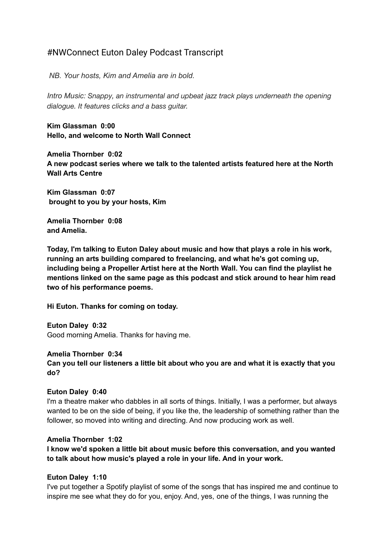# #NWConnect Euton Daley Podcast Transcript

*NB. Your hosts, Kim and Amelia are in bold.*

*Intro Music: Snappy, an instrumental and upbeat jazz track plays underneath the opening dialogue. It features clicks and a bass guitar.*

**Kim Glassman 0:00 Hello, and welcome to North Wall Connect**

**Amelia Thornber 0:02 A new podcast series where we talk to the talented artists featured here at the North Wall Arts Centre**

**Kim Glassman 0:07 brought to you by your hosts, Kim**

**Amelia Thornber 0:08 and Amelia.**

**Today, I'm talking to Euton Daley about music and how that plays a role in his work, running an arts building compared to freelancing, and what he's got coming up, including being a Propeller Artist here at the North Wall. You can find the playlist he mentions linked on the same page as this podcast and stick around to hear him read two of his performance poems.**

**Hi Euton. Thanks for coming on today.**

**Euton Daley 0:32** Good morning Amelia. Thanks for having me.

**Amelia Thornber 0:34**

**Can you tell our listeners a little bit about who you are and what it is exactly that you do?**

#### **Euton Daley 0:40**

I'm a theatre maker who dabbles in all sorts of things. Initially, I was a performer, but always wanted to be on the side of being, if you like the, the leadership of something rather than the follower, so moved into writing and directing. And now producing work as well.

## **Amelia Thornber 1:02**

**I know we'd spoken a little bit about music before this conversation, and you wanted to talk about how music's played a role in your life. And in your work.**

#### **Euton Daley 1:10**

I've put together a Spotify playlist of some of the songs that has inspired me and continue to inspire me see what they do for you, enjoy. And, yes, one of the things, I was running the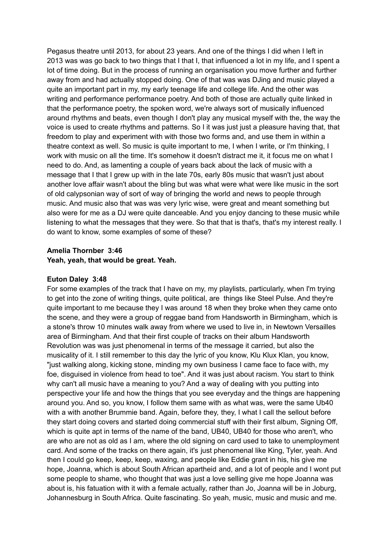Pegasus theatre until 2013, for about 23 years. And one of the things I did when I left in 2013 was was go back to two things that I that I, that influenced a lot in my life, and I spent a lot of time doing. But in the process of running an organisation you move further and further away from and had actually stopped doing. One of that was was DJing and music played a quite an important part in my, my early teenage life and college life. And the other was writing and performance performance poetry. And both of those are actually quite linked in that the performance poetry, the spoken word, we're always sort of musically influenced around rhythms and beats, even though I don't play any musical myself with the, the way the voice is used to create rhythms and patterns. So I it was just just a pleasure having that, that freedom to play and experiment with with those two forms and, and use them in within a theatre context as well. So music is quite important to me, I when I write, or I'm thinking, I work with music on all the time. It's somehow it doesn't distract me it, it focus me on what I need to do. And, as lamenting a couple of years back about the lack of music with a message that I that I grew up with in the late 70s, early 80s music that wasn't just about another love affair wasn't about the bling but was what were what were like music in the sort of old calypsonian way of sort of way of bringing the world and news to people through music. And music also that was was very lyric wise, were great and meant something but also were for me as a DJ were quite danceable. And you enjoy dancing to these music while listening to what the messages that they were. So that that is that's, that's my interest really. I do want to know, some examples of some of these?

## **Amelia Thornber 3:46 Yeah, yeah, that would be great. Yeah.**

## **Euton Daley 3:48**

For some examples of the track that I have on my, my playlists, particularly, when I'm trying to get into the zone of writing things, quite political, are things like Steel Pulse. And they're quite important to me because they I was around 18 when they broke when they came onto the scene, and they were a group of reggae band from Handsworth in Birmingham, which is a stone's throw 10 minutes walk away from where we used to live in, in Newtown Versailles area of Birmingham. And that their first couple of tracks on their album Handsworth Revolution was was just phenomenal in terms of the message it carried, but also the musicality of it. I still remember to this day the lyric of you know, Klu Klux Klan, you know, "just walking along, kicking stone, minding my own business I came face to face with, my foe, disguised in violence from head to toe". And it was just about racism. You start to think why can't all music have a meaning to you? And a way of dealing with you putting into perspective your life and how the things that you see everyday and the things are happening around you. And so, you know, I follow them same with as what was, were the same Ub40 with a with another Brummie band. Again, before they, they, I what I call the sellout before they start doing covers and started doing commercial stuff with their first album, Signing Off, which is quite apt in terms of the name of the band, UB40, UB40 for those who aren't, who are who are not as old as I am, where the old signing on card used to take to unemployment card. And some of the tracks on there again, it's just phenomenal like King, Tyler, yeah. And then I could go keep, keep, keep, waxing, and people like Eddie grant in his, his give me hope, Joanna, which is about South African apartheid and, and a lot of people and I wont put some people to shame, who thought that was just a love selling give me hope Joanna was about is, his fatuation with it with a female actually, rather than Jo, Joanna will be in Joburg, Johannesburg in South Africa. Quite fascinating. So yeah, music, music and music and me.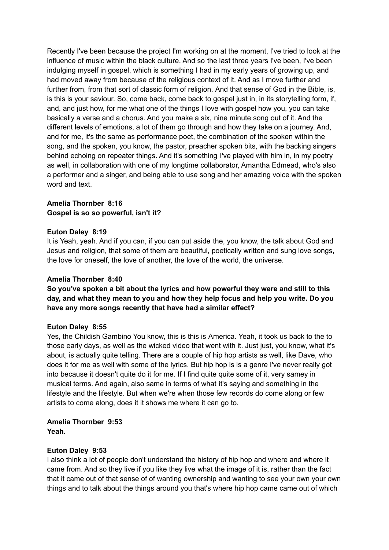Recently I've been because the project I'm working on at the moment, I've tried to look at the influence of music within the black culture. And so the last three years I've been, I've been indulging myself in gospel, which is something I had in my early years of growing up, and had moved away from because of the religious context of it. And as I move further and further from, from that sort of classic form of religion. And that sense of God in the Bible, is, is this is your saviour. So, come back, come back to gospel just in, in its storytelling form, if, and, and just how, for me what one of the things I love with gospel how you, you can take basically a verse and a chorus. And you make a six, nine minute song out of it. And the different levels of emotions, a lot of them go through and how they take on a journey. And, and for me, it's the same as performance poet, the combination of the spoken within the song, and the spoken, you know, the pastor, preacher spoken bits, with the backing singers behind echoing on repeater things. And it's something I've played with him in, in my poetry as well, in collaboration with one of my longtime collaborator, Amantha Edmead, who's also a performer and a singer, and being able to use song and her amazing voice with the spoken word and text.

## **Amelia Thornber 8:16 Gospel is so so powerful, isn't it?**

## **Euton Daley 8:19**

It is Yeah, yeah. And if you can, if you can put aside the, you know, the talk about God and Jesus and religion, that some of them are beautiful, poetically written and sung love songs, the love for oneself, the love of another, the love of the world, the universe.

## **Amelia Thornber 8:40**

**So you've spoken a bit about the lyrics and how powerful they were and still to this day, and what they mean to you and how they help focus and help you write. Do you have any more songs recently that have had a similar effect?**

## **Euton Daley 8:55**

Yes, the Childish Gambino You know, this is this is America. Yeah, it took us back to the to those early days, as well as the wicked video that went with it. Just just, you know, what it's about, is actually quite telling. There are a couple of hip hop artists as well, like Dave, who does it for me as well with some of the lyrics. But hip hop is is a genre I've never really got into because it doesn't quite do it for me. If I find quite quite some of it, very samey in musical terms. And again, also same in terms of what it's saying and something in the lifestyle and the lifestyle. But when we're when those few records do come along or few artists to come along, does it it shows me where it can go to.

### **Amelia Thornber 9:53 Yeah.**

## **Euton Daley 9:53**

I also think a lot of people don't understand the history of hip hop and where and where it came from. And so they live if you like they live what the image of it is, rather than the fact that it came out of that sense of of wanting ownership and wanting to see your own your own things and to talk about the things around you that's where hip hop came came out of which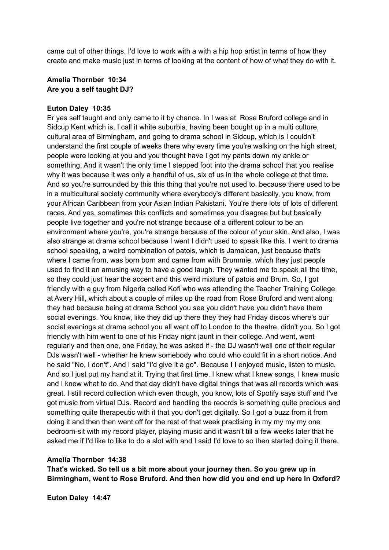came out of other things. I'd love to work with a with a hip hop artist in terms of how they create and make music just in terms of looking at the content of how of what they do with it.

### **Amelia Thornber 10:34 Are you a self taught DJ?**

### **Euton Daley 10:35**

Er yes self taught and only came to it by chance. In I was at Rose Bruford college and in Sidcup Kent which is, I call it white suburbia, having been bought up in a multi culture, cultural area of Birmingham, and going to drama school in Sidcup, which is I couldn't understand the first couple of weeks there why every time you're walking on the high street, people were looking at you and you thought have I got my pants down my ankle or something. And it wasn't the only time I stepped foot into the drama school that you realise why it was because it was only a handful of us, six of us in the whole college at that time. And so you're surrounded by this this thing that you're not used to, because there used to be in a multicultural society community where everybody's different basically, you know, from your African Caribbean from your Asian Indian Pakistani. You're there lots of lots of different races. And yes, sometimes this conflicts and sometimes you disagree but but basically people live together and you're not strange because of a different colour to be an environment where you're, you're strange because of the colour of your skin. And also, I was also strange at drama school because I went I didn't used to speak like this. I went to drama school speaking, a weird combination of patois, which is Jamaican, just because that's where I came from, was born born and came from with Brummie, which they just people used to find it an amusing way to have a good laugh. They wanted me to speak all the time, so they could just hear the accent and this weird mixture of patois and Brum. So, I got friendly with a guy from Nigeria called Kofi who was attending the Teacher Training College at Avery Hill, which about a couple of miles up the road from Rose Bruford and went along they had because being at drama School you see you didn't have you didn't have them social evenings. You know, like they did up there they they had Friday discos where's our social evenings at drama school you all went off to London to the theatre, didn't you. So I got friendly with him went to one of his Friday night jaunt in their college. And went, went regularly and then one, one Friday, he was asked if - the DJ wasn't well one of their regular DJs wasn't well - whether he knew somebody who could who could fit in a short notice. And he said "No, I don't". And I said "I'd give it a go". Because I I enjoyed music, listen to music. And so I just put my hand at it. Trying that first time. I knew what I knew songs, I knew music and I knew what to do. And that day didn't have digital things that was all records which was great. I still record collection which even though, you know, lots of Spotify says stuff and I've got music from virtual DJs. Record and handling the reocrds is something quite precious and something quite therapeutic with it that you don't get digitally. So I got a buzz from it from doing it and then then went off for the rest of that week practising in my my my my one bedroom-sit with my record player, playing music and it wasn't till a few weeks later that he asked me if I'd like to like to do a slot with and I said I'd love to so then started doing it there.

#### **Amelia Thornber 14:38**

**That's wicked. So tell us a bit more about your journey then. So you grew up in Birmingham, went to Rose Bruford. And then how did you end end up here in Oxford?**

**Euton Daley 14:47**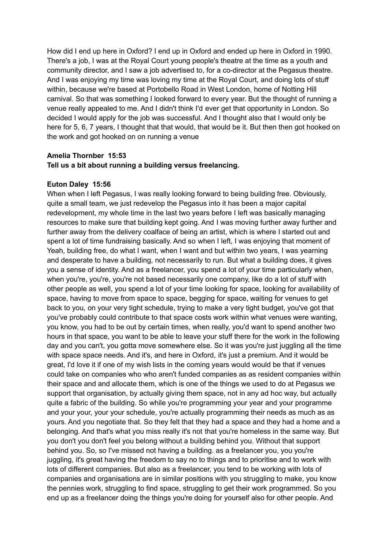How did I end up here in Oxford? I end up in Oxford and ended up here in Oxford in 1990. There's a job, I was at the Royal Court young people's theatre at the time as a youth and community director, and I saw a job advertised to, for a co-director at the Pegasus theatre. And I was enjoying my time was loving my time at the Royal Court, and doing lots of stuff within, because we're based at Portobello Road in West London, home of Notting Hill carnival. So that was something I looked forward to every year. But the thought of running a venue really appealed to me. And I didn't think I'd ever get that opportunity in London. So decided I would apply for the job was successful. And I thought also that I would only be here for 5, 6, 7 years, I thought that that would, that would be it. But then then got hooked on the work and got hooked on on running a venue

## **Amelia Thornber 15:53 Tell us a bit about running a building versus freelancing.**

## **Euton Daley 15:56**

When when I left Pegasus, I was really looking forward to being building free. Obviously, quite a small team, we just redevelop the Pegasus into it has been a major capital redevelopment, my whole time in the last two years before I left was basically managing resources to make sure that building kept going. And I was moving further away further and further away from the delivery coalface of being an artist, which is where I started out and spent a lot of time fundraising basically. And so when I left, I was enjoying that moment of Yeah, building free, do what I want, when I want and but within two years, I was yearning and desperate to have a building, not necessarily to run. But what a building does, it gives you a sense of identity. And as a freelancer, you spend a lot of your time particularly when, when you're, you're, you're not based necessarily one company, like do a lot of stuff with other people as well, you spend a lot of your time looking for space, looking for availability of space, having to move from space to space, begging for space, waiting for venues to get back to you, on your very tight schedule, trying to make a very tight budget, you've got that you've probably could contribute to that space costs work within what venues were wanting, you know, you had to be out by certain times, when really, you'd want to spend another two hours in that space, you want to be able to leave your stuff there for the work in the following day and you can't, you gotta move somewhere else. So it was you're just juggling all the time with space space needs. And it's, and here in Oxford, it's just a premium. And it would be great, I'd love it if one of my wish lists in the coming years would would be that if venues could take on companies who who aren't funded companies as as resident companies within their space and and allocate them, which is one of the things we used to do at Pegasus we support that organisation, by actually giving them space, not in any ad hoc way, but actually quite a fabric of the building. So while you're programming your year and your programme and your your, your your schedule, you're actually programming their needs as much as as yours. And you negotiate that. So they felt that they had a space and they had a home and a belonging. And that's what you miss really it's not that you're homeless in the same way. But you don't you don't feel you belong without a building behind you. Without that support behind you. So, so I've missed not having a building. as a freelancer you, you you're juggling, it's great having the freedom to say no to things and to prioritise and to work with lots of different companies. But also as a freelancer, you tend to be working with lots of companies and organisations are in similar positions with you struggling to make, you know the pennies work, struggling to find space, struggling to get their work programmed. So you end up as a freelancer doing the things you're doing for yourself also for other people. And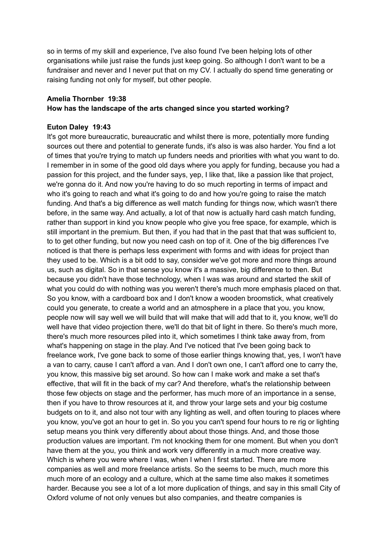so in terms of my skill and experience, I've also found I've been helping lots of other organisations while just raise the funds just keep going. So although I don't want to be a fundraiser and never and I never put that on my CV. I actually do spend time generating or raising funding not only for myself, but other people.

## **Amelia Thornber 19:38 How has the landscape of the arts changed since you started working?**

#### **Euton Daley 19:43**

It's got more bureaucratic, bureaucratic and whilst there is more, potentially more funding sources out there and potential to generate funds, it's also is was also harder. You find a lot of times that you're trying to match up funders needs and priorities with what you want to do. I remember in in some of the good old days where you apply for funding, because you had a passion for this project, and the funder says, yep, I like that, like a passion like that project, we're gonna do it. And now you're having to do so much reporting in terms of impact and who it's going to reach and what it's going to do and how you're going to raise the match funding. And that's a big difference as well match funding for things now, which wasn't there before, in the same way. And actually, a lot of that now is actually hard cash match funding, rather than support in kind you know people who give you free space, for example, which is still important in the premium. But then, if you had that in the past that that was sufficient to, to to get other funding, but now you need cash on top of it. One of the big differences I've noticed is that there is perhaps less experiment with forms and with ideas for project than they used to be. Which is a bit odd to say, consider we've got more and more things around us, such as digital. So in that sense you know it's a massive, big difference to then. But because you didn't have those technology, when I was was around and started the skill of what you could do with nothing was you weren't there's much more emphasis placed on that. So you know, with a cardboard box and I don't know a wooden broomstick, what creatively could you generate, to create a world and an atmosphere in a place that you, you know, people now will say well we will build that will make that will add that to it, you know, we'll do well have that video projection there, we'll do that bit of light in there. So there's much more, there's much more resources piled into it, which sometimes I think take away from, from what's happening on stage in the play. And I've noticed that I've been going back to freelance work, I've gone back to some of those earlier things knowing that, yes, I won't have a van to carry, cause I can't afford a van. And I don't own one, I can't afford one to carry the, you know, this massive big set around. So how can I make work and make a set that's effective, that will fit in the back of my car? And therefore, what's the relationship between those few objects on stage and the performer, has much more of an importance in a sense, then if you have to throw resources at it, and throw your large sets and your big costume budgets on to it, and also not tour with any lighting as well, and often touring to places where you know, you've got an hour to get in. So you you can't spend four hours to re rig or lighting setup means you think very differently about about those things. And, and those those production values are important. I'm not knocking them for one moment. But when you don't have them at the you, you think and work very differently in a much more creative way. Which is where you were where I was, when I when I first started. There are more companies as well and more freelance artists. So the seems to be much, much more this much more of an ecology and a culture, which at the same time also makes it sometimes harder. Because you see a lot of a lot more duplication of things, and say in this small City of Oxford volume of not only venues but also companies, and theatre companies is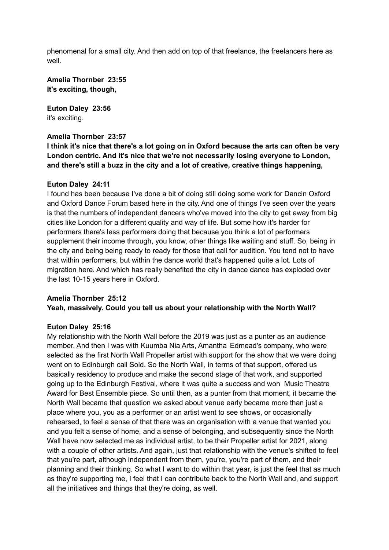phenomenal for a small city. And then add on top of that freelance, the freelancers here as well.

**Amelia Thornber 23:55 It's exciting, though,**

**Euton Daley 23:56** it's exciting.

#### **Amelia Thornber 23:57**

**I think it's nice that there's a lot going on in Oxford because the arts can often be very London centric. And it's nice that we're not necessarily losing everyone to London, and there's still a buzz in the city and a lot of creative, creative things happening,**

#### **Euton Daley 24:11**

I found has been because I've done a bit of doing still doing some work for Dancin Oxford and Oxford Dance Forum based here in the city. And one of things I've seen over the years is that the numbers of independent dancers who've moved into the city to get away from big cities like London for a different quality and way of life. But some how it's harder for performers there's less performers doing that because you think a lot of performers supplement their income through, you know, other things like waiting and stuff. So, being in the city and being being ready to ready for those that call for audition. You tend not to have that within performers, but within the dance world that's happened quite a lot. Lots of migration here. And which has really benefited the city in dance dance has exploded over the last 10-15 years here in Oxford.

## **Amelia Thornber 25:12 Yeah, massively. Could you tell us about your relationship with the North Wall?**

#### **Euton Daley 25:16**

My relationship with the North Wall before the 2019 was just as a punter as an audience member. And then I was with Kuumba Nia Arts, Amantha Edmead's company, who were selected as the first North Wall Propeller artist with support for the show that we were doing went on to Edinburgh call Sold. So the North Wall, in terms of that support, offered us basically residency to produce and make the second stage of that work, and supported going up to the Edinburgh Festival, where it was quite a success and won Music Theatre Award for Best Ensemble piece. So until then, as a punter from that moment, it became the North Wall became that question we asked about venue early became more than just a place where you, you as a performer or an artist went to see shows, or occasionally rehearsed, to feel a sense of that there was an organisation with a venue that wanted you and you felt a sense of home, and a sense of belonging, and subsequently since the North Wall have now selected me as individual artist, to be their Propeller artist for 2021, along with a couple of other artists. And again, just that relationship with the venue's shifted to feel that you're part, although independent from them, you're, you're part of them, and their planning and their thinking. So what I want to do within that year, is just the feel that as much as they're supporting me, I feel that I can contribute back to the North Wall and, and support all the initiatives and things that they're doing, as well.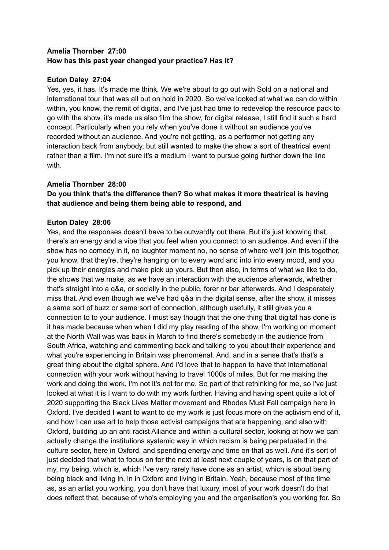## **Amelia Thornber 27:00 How has this past year changed your practice? Has it?**

## **Euton Daley 27:04**

Yes, yes, it has. It's made me think. We we're about to go out with Sold on a national and international tour that was all put on hold in 2020. So we've looked at what we can do within within, you know, the remit of digital, and I've just had time to redevelop the resource pack to go with the show, it's made us also film the show, for digital release, I still find it such a hard concept. Particularly when you rely when you've done it without an audience you've recorded without an audience. And you're not getting, as a performer not getting any interaction back from anybody, but still wanted to make the show a sort of theatrical event rather than a film. I'm not sure it's a medium I want to pursue going further down the line with.

## **Amelia Thornber 28:00**

## **Do you think that's the difference then? So what makes it more theatrical is having that audience and being them being able to respond, and**

## **Euton Daley 28:06**

Yes, and the responses doesn't have to be outwardly out there. But it's just knowing that there's an energy and a vibe that you feel when you connect to an audience. And even if the show has no comedy in it, no laughter moment no, no sense of where we'll join this together, you know, that they're, they're hanging on to every word and into into every mood, and you pick up their energies and make pick up yours. But then also, in terms of what we like to do, the shows that we make, as we have an interaction with the audience afterwards, whether that's straight into a q&a, or socially in the public, forer or bar afterwards. And I desperately miss that. And even though we we've had q&a in the digital sense, after the show, it misses a same sort of buzz or same sort of connection, although usefully, it still gives you a connection to to your audience. I must say though that the one thing that digital has done is it has made because when when I did my play reading of the show, I'm working on moment at the North Wall was was back in March to find there's somebody in the audience from South Africa, watching and commenting back and talking to you about their experience and what you're experiencing in Britain was phenomenal. And, and in a sense that's that's a great thing about the digital sphere. And I'd love that to happen to have that international connection with your work without having to travel 1000s of miles. But for me making the work and doing the work, I'm not it's not for me. So part of that rethinking for me, so I've just looked at what it is I want to do with my work further. Having and having spent quite a lot of 2020 supporting the Black Lives Matter movement and Rhodes Must Fall campaign here in Oxford. I've decided I want to want to do my work is just focus more on the activism end of it, and how I can use art to help those activist campaigns that are happening, and also with Oxford, building up an anti racist Alliance and within a cultural sector, looking at how we can actually change the institutions systemic way in which racism is being perpetuated in the culture sector, here in Oxford, and spending energy and time on that as well. And it's sort of just decided that what to focus on for the next at least next couple of years, is on that part of my, my being, which is, which I've very rarely have done as an artist, which is about being being black and living in, in in Oxford and living in Britain. Yeah, because most of the time as, as an artist you working, you don't have that luxury, most of your work doesn't do that does reflect that, because of who's employing you and the organisation's you working for. So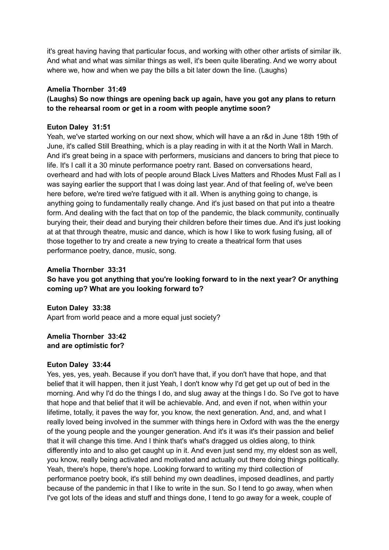it's great having having that particular focus, and working with other other artists of similar ilk. And what and what was similar things as well, it's been quite liberating. And we worry about where we, how and when we pay the bills a bit later down the line. (Laughs)

#### **Amelia Thornber 31:49**

**(Laughs) So now things are opening back up again, have you got any plans to return to the rehearsal room or get in a room with people anytime soon?**

#### **Euton Daley 31:51**

Yeah, we've started working on our next show, which will have a an r&d in June 18th 19th of June, it's called Still Breathing, which is a play reading in with it at the North Wall in March. And it's great being in a space with performers, musicians and dancers to bring that piece to life. It's I call it a 30 minute performance poetry rant. Based on conversations heard, overheard and had with lots of people around Black Lives Matters and Rhodes Must Fall as I was saying earlier the support that I was doing last year. And of that feeling of, we've been here before, we're tired we're fatigued with it all. When is anything going to change, is anything going to fundamentally really change. And it's just based on that put into a theatre form. And dealing with the fact that on top of the pandemic, the black community, continually burying their, their dead and burying their children before their times due. And it's just looking at at that through theatre, music and dance, which is how I like to work fusing fusing, all of those together to try and create a new trying to create a theatrical form that uses performance poetry, dance, music, song.

#### **Amelia Thornber 33:31**

**So have you got anything that you're looking forward to in the next year? Or anything coming up? What are you looking forward to?**

**Euton Daley 33:38** Apart from world peace and a more equal just society?

**Amelia Thornber 33:42 and are optimistic for?**

#### **Euton Daley 33:44**

Yes, yes, yes, yeah. Because if you don't have that, if you don't have that hope, and that belief that it will happen, then it just Yeah, I don't know why I'd get get up out of bed in the morning. And why I'd do the things I do, and slug away at the things I do. So I've got to have that hope and that belief that it will be achievable. And, and even if not, when within your lifetime, totally, it paves the way for, you know, the next generation. And, and, and what I really loved being involved in the summer with things here in Oxford with was the the energy of the young people and the younger generation. And it's it was it's their passion and belief that it will change this time. And I think that's what's dragged us oldies along, to think differently into and to also get caught up in it. And even just send my, my eldest son as well, you know, really being activated and motivated and actually out there doing things politically. Yeah, there's hope, there's hope. Looking forward to writing my third collection of performance poetry book, it's still behind my own deadlines, imposed deadlines, and partly because of the pandemic in that I like to write in the sun. So I tend to go away, when when I've got lots of the ideas and stuff and things done, I tend to go away for a week, couple of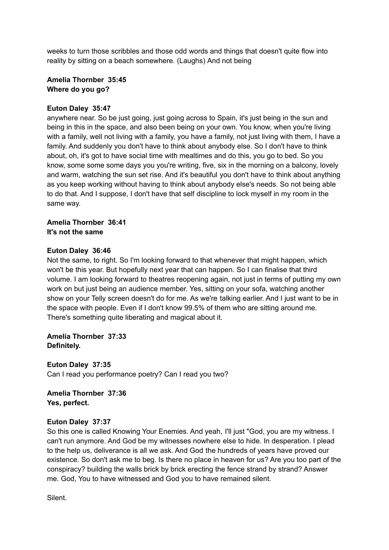weeks to turn those scribbles and those odd words and things that doesn't quite flow into reality by sitting on a beach somewhere. (Laughs) And not being

## **Amelia Thornber 35:45 Where do you go?**

## **Euton Daley 35:47**

anywhere near. So be just going, just going across to Spain, it's just being in the sun and being in this in the space, and also been being on your own. You know, when you're living with a family, well not living with a family, you have a family, not just living with them, I have a family. And suddenly you don't have to think about anybody else. So I don't have to think about, oh, it's got to have social time with mealtimes and do this, you go to bed. So you know, some some some days you you're writing, five, six in the morning on a balcony, lovely and warm, watching the sun set rise. And it's beautiful you don't have to think about anything as you keep working without having to think about anybody else's needs. So not being able to do that. And I suppose, I don't have that self discipline to lock myself in my room in the same way.

## **Amelia Thornber 36:41 It's not the same**

## **Euton Daley 36:46**

Not the same, to right. So I'm looking forward to that whenever that might happen, which won't be this year. But hopefully next year that can happen. So I can finalise that third volume. I am looking forward to theatres reopening again, not just in terms of putting my own work on but just being an audience member. Yes, sitting on your sofa, watching another show on your Telly screen doesn't do for me. As we're talking earlier. And I just want to be in the space with people. Even if I don't know 99.5% of them who are sitting around me. There's something quite liberating and magical about it.

**Amelia Thornber 37:33 Definitely.**

**Euton Daley 37:35** Can I read you performance poetry? Can I read you two?

**Amelia Thornber 37:36 Yes, perfect.**

## **Euton Daley 37:37**

So this one is called Knowing Your Enemies. And yeah, I'll just "God, you are my witness. I can't run anymore. And God be my witnesses nowhere else to hide. In desperation. I plead to the help us, deliverance is all we ask. And God the hundreds of years have proved our existence. So don't ask me to beg. Is there no place in heaven for us? Are you too part of the conspiracy? building the walls brick by brick erecting the fence strand by strand? Answer me. God, You to have witnessed and God you to have remained silent.

Silent.